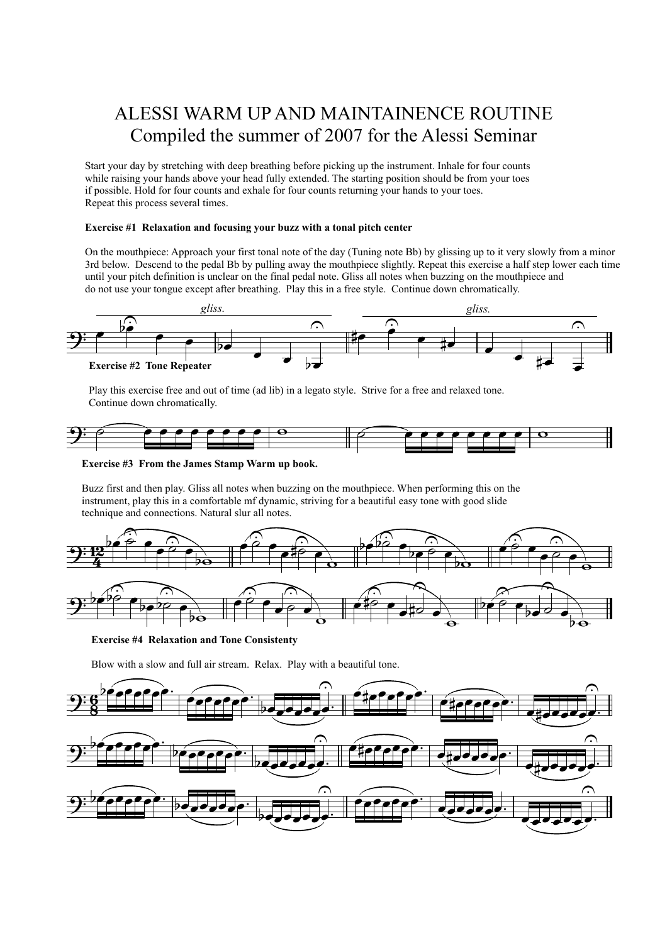# ALESSI WARM UP AND MAINTAINENCE ROUTINE Compiled the summer of 2007 for the Alessi Seminar

Start your day by stretching with deep breathing before picking up the instrument. Inhale for four counts while raising your hands above your head fully extended. The starting position should be from your toes if possible. Hold for four counts and exhale for four counts returning your hands to your toes. Repeat this process several times.

# **Exercise #1 Relaxation and focusing your buzz with a tonal pitch center**

On the mouthpiece: Approach your first tonal note of the day (Tuning note Bb) by glissing up to it very slowly from a minor 3rd below. Descend to the pedal Bb by pulling away the mouthpiece slightly. Repeat this exercise a half step lower each time until your pitch definition is unclear on the final pedal note. Gliss all notes when buzzing on the mouthpiece and do not use your tongue except after breathing. Play this in a free style. Continue down chromatically.



Play this exercise free and out of time (ad lib) in a legato style. Strive for a free and relaxed tone. Continue down chromatically.



**Exercise #3 From the James Stamp Warm up book.**

Buzz first and then play. Gliss all notes when buzzing on the mouthpiece. When performing this on the instrument, play this in a comfortable mf dynamic, striving for a beautiful easy tone with good slide technique and connections. Natural slur all notes.



**Exercise #4 Relaxation and Tone Consistenty**

Blow with a slow and full air stream. Relax. Play with a beautiful tone.

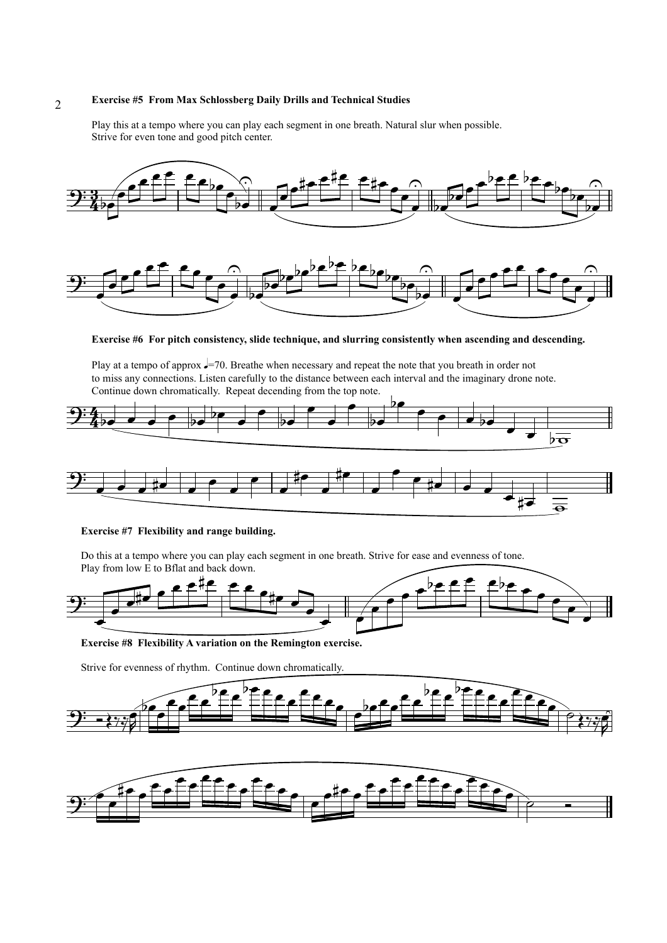#### **Exercise #5 From Max Schlossberg Daily Drills and Technical Studies** 2

Play this at a tempo where you can play each segment in one breath. Natural slur when possible. Strive for even tone and good pitch center.



**Exercise #6 For pitch consistency, slide technique, and slurring consistently when ascending and descending.**

Play at a tempo of approx  $\sqrt{=}70$ . Breathe when necessary and repeat the note that you breath in order not to miss any connections. Listen carefully to the distance between each interval and the imaginary drone note.



#### **Exercise #7 Flexibility and range building.**

Do this at a tempo where you can play each segment in one breath. Strive for ease and evenness of tone. Play from low E to Bflat and back down.



**Exercise #8 Flexibility A variation on the Remington exercise.**

Strive for evenness of rhythm. Continue down chromatically.



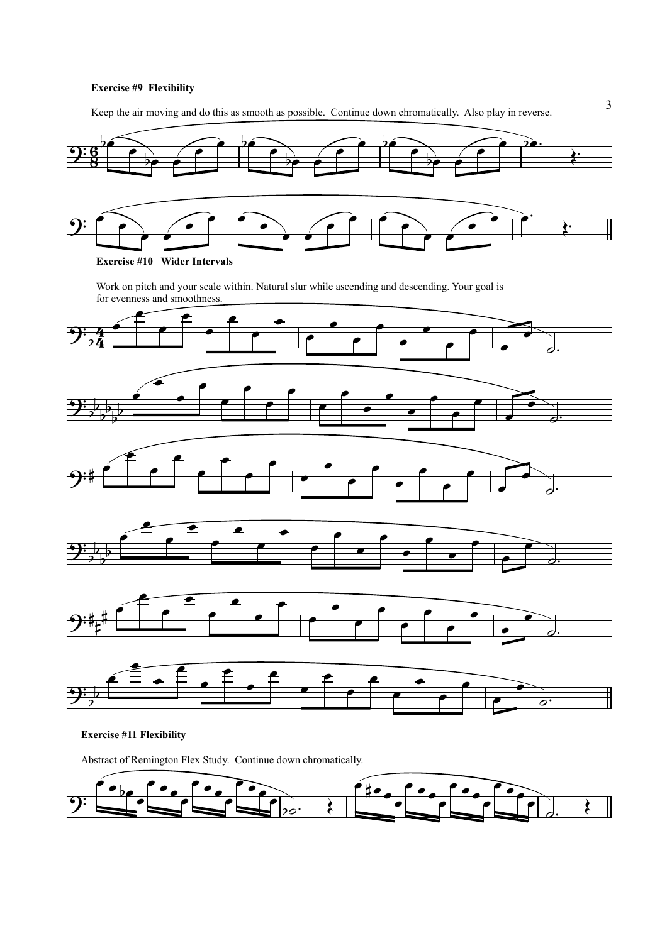# **Exercise #9 Flexibility**

Keep the air moving and do this as smooth as possible. Continue down chromatically. Also play in reverse.



# **Exercise #11 Flexibility**

Abstract of Remington Flex Study. Continue down chromatically.

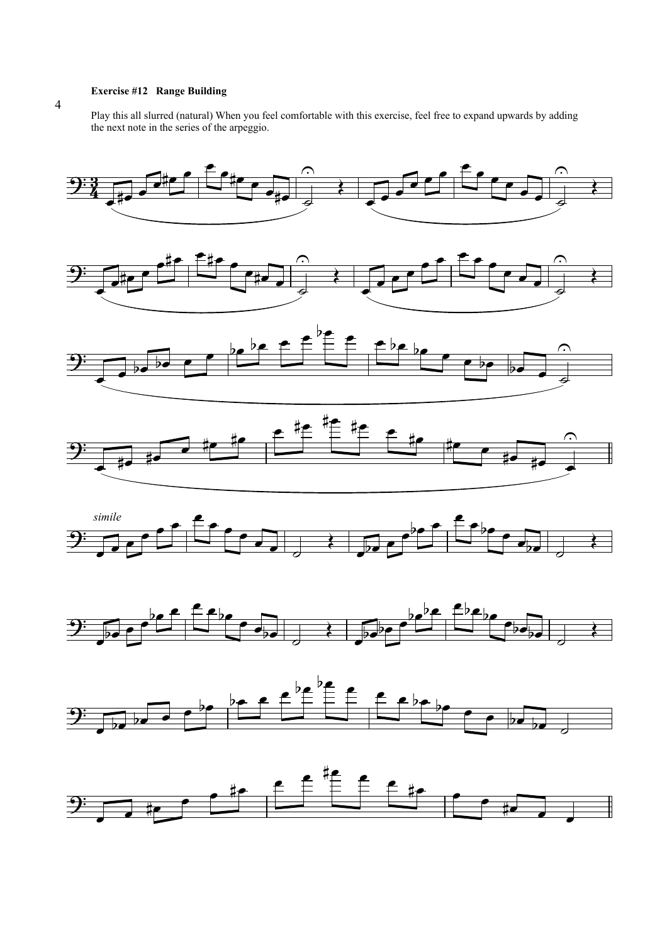# **Exercise #12 Range Building**

4

Play this all slurred (natural) When you feel comfortable with this exercise, feel free to expand upwards by adding the next note in the series of the arpeggio.

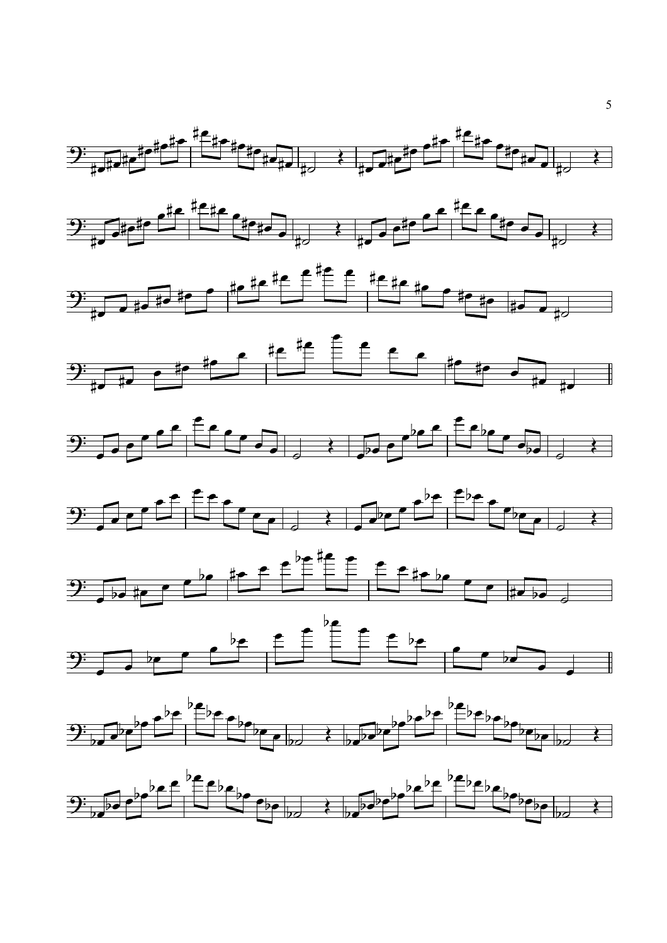

















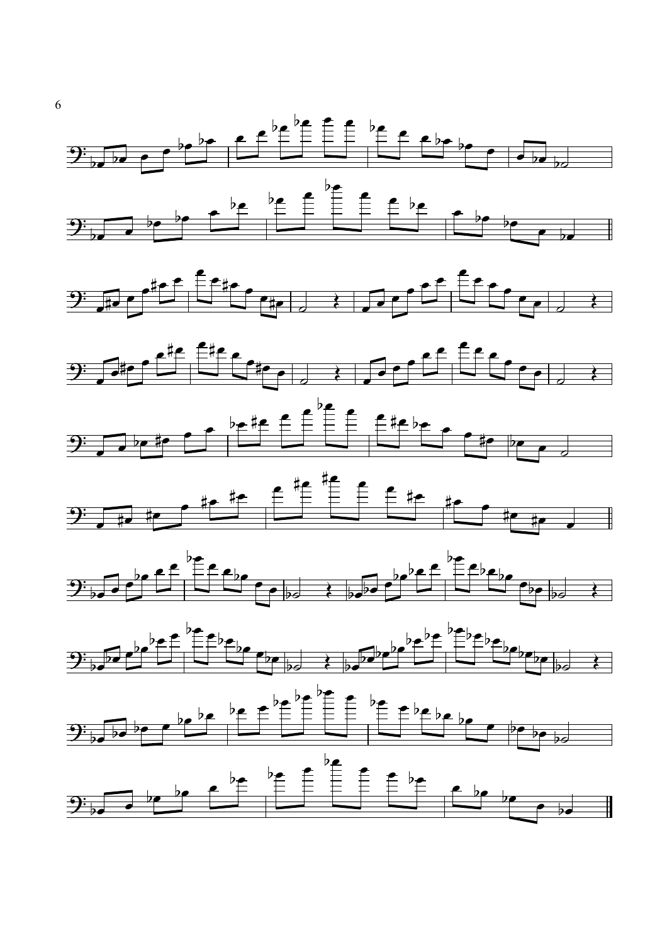















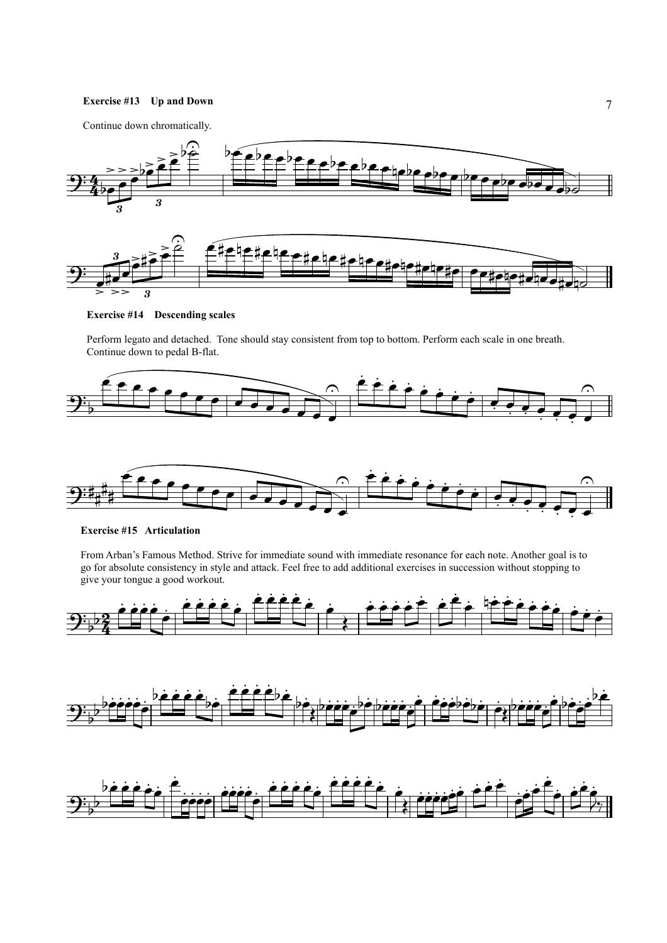# **Exercise #13 Up and Down**

Continue down chromatically.



**Exercise #14 Descending scales**

Perform legato and detached. Tone should stay consistent from top to bottom. Perform each scale in one breath. Continue down to pedal B-flat.







From Arban's Famous Method. Strive for immediate sound with immediate resonance for each note. Another goal is to go for absolute consistency in style and attack. Feel free to add additional exercises in succession without stopping to give your tongue a good workout.